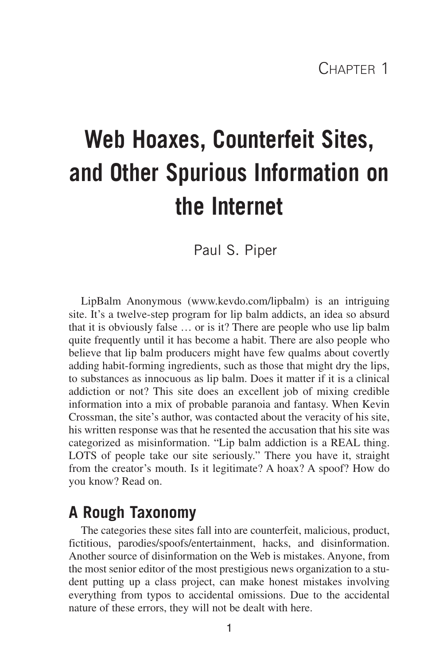# **Web Hoaxes, Counterfeit Sites, and Other Spurious Information on the Internet**

Paul S. Piper

LipBalm Anonymous (www.kevdo.com/lipbalm) is an intriguing site. It's a twelve-step program for lip balm addicts, an idea so absurd that it is obviously false … or is it? There are people who use lip balm quite frequently until it has become a habit. There are also people who believe that lip balm producers might have few qualms about covertly adding habit-forming ingredients, such as those that might dry the lips, to substances as innocuous as lip balm. Does it matter if it is a clinical addiction or not? This site does an excellent job of mixing credible information into a mix of probable paranoia and fantasy. When Kevin Crossman, the site's author, was contacted about the veracity of his site, his written response was that he resented the accusation that his site was categorized as misinformation. "Lip balm addiction is a REAL thing. LOTS of people take our site seriously." There you have it, straight from the creator's mouth. Is it legitimate? A hoax? A spoof? How do you know? Read on.

### **A Rough Taxonomy**

The categories these sites fall into are counterfeit, malicious, product, fictitious, parodies/spoofs/entertainment, hacks, and disinformation. Another source of disinformation on the Web is mistakes. Anyone, from the most senior editor of the most prestigious news organization to a student putting up a class project, can make honest mistakes involving everything from typos to accidental omissions. Due to the accidental nature of these errors, they will not be dealt with here.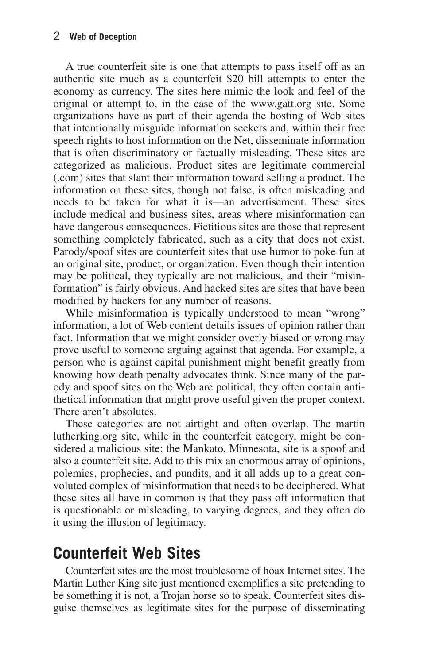A true counterfeit site is one that attempts to pass itself off as an authentic site much as a counterfeit \$20 bill attempts to enter the economy as currency. The sites here mimic the look and feel of the original or attempt to, in the case of the www.gatt.org site. Some organizations have as part of their agenda the hosting of Web sites that intentionally misguide information seekers and, within their free speech rights to host information on the Net, disseminate information that is often discriminatory or factually misleading. These sites are categorized as malicious. Product sites are legitimate commercial (.com) sites that slant their information toward selling a product. The information on these sites, though not false, is often misleading and needs to be taken for what it is—an advertisement. These sites include medical and business sites, areas where misinformation can have dangerous consequences. Fictitious sites are those that represent something completely fabricated, such as a city that does not exist. Parody/spoof sites are counterfeit sites that use humor to poke fun at an original site, product, or organization. Even though their intention may be political, they typically are not malicious, and their "misinformation" is fairly obvious. And hacked sites are sites that have been modified by hackers for any number of reasons.

While misinformation is typically understood to mean "wrong" information, a lot of Web content details issues of opinion rather than fact. Information that we might consider overly biased or wrong may prove useful to someone arguing against that agenda. For example, a person who is against capital punishment might benefit greatly from knowing how death penalty advocates think. Since many of the parody and spoof sites on the Web are political, they often contain antithetical information that might prove useful given the proper context. There aren't absolutes.

These categories are not airtight and often overlap. The martin lutherking.org site, while in the counterfeit category, might be considered a malicious site; the Mankato, Minnesota, site is a spoof and also a counterfeit site. Add to this mix an enormous array of opinions, polemics, prophecies, and pundits, and it all adds up to a great convoluted complex of misinformation that needs to be deciphered. What these sites all have in common is that they pass off information that is questionable or misleading, to varying degrees, and they often do it using the illusion of legitimacy.

## **Counterfeit Web Sites**

Counterfeit sites are the most troublesome of hoax Internet sites. The Martin Luther King site just mentioned exemplifies a site pretending to be something it is not, a Trojan horse so to speak. Counterfeit sites disguise themselves as legitimate sites for the purpose of disseminating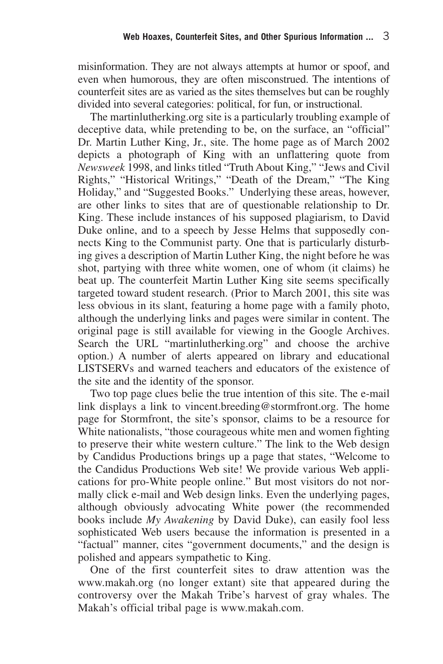misinformation. They are not always attempts at humor or spoof, and even when humorous, they are often misconstrued. The intentions of counterfeit sites are as varied as the sites themselves but can be roughly divided into several categories: political, for fun, or instructional.

The martinlutherking.org site is a particularly troubling example of deceptive data, while pretending to be, on the surface, an "official" Dr. Martin Luther King, Jr., site. The home page as of March 2002 depicts a photograph of King with an unflattering quote from *Newsweek* 1998, and links titled "Truth About King," "Jews and Civil Rights," "Historical Writings," "Death of the Dream," "The King Holiday," and "Suggested Books." Underlying these areas, however, are other links to sites that are of questionable relationship to Dr. King. These include instances of his supposed plagiarism, to David Duke online, and to a speech by Jesse Helms that supposedly connects King to the Communist party. One that is particularly disturbing gives a description of Martin Luther King, the night before he was shot, partying with three white women, one of whom (it claims) he beat up. The counterfeit Martin Luther King site seems specifically targeted toward student research. (Prior to March 2001, this site was less obvious in its slant, featuring a home page with a family photo, although the underlying links and pages were similar in content. The original page is still available for viewing in the Google Archives. Search the URL "martinlutherking.org" and choose the archive option.) A number of alerts appeared on library and educational LISTSERVs and warned teachers and educators of the existence of the site and the identity of the sponsor.

Two top page clues belie the true intention of this site. The e-mail link displays a link to vincent.breeding@stormfront.org. The home page for Stormfront, the site's sponsor, claims to be a resource for White nationalists, "those courageous white men and women fighting to preserve their white western culture." The link to the Web design by Candidus Productions brings up a page that states, "Welcome to the Candidus Productions Web site! We provide various Web applications for pro-White people online." But most visitors do not normally click e-mail and Web design links. Even the underlying pages, although obviously advocating White power (the recommended books include *My Awakening* by David Duke), can easily fool less sophisticated Web users because the information is presented in a "factual" manner, cites "government documents," and the design is polished and appears sympathetic to King.

One of the first counterfeit sites to draw attention was the www.makah.org (no longer extant) site that appeared during the controversy over the Makah Tribe's harvest of gray whales. The Makah's official tribal page is www.makah.com.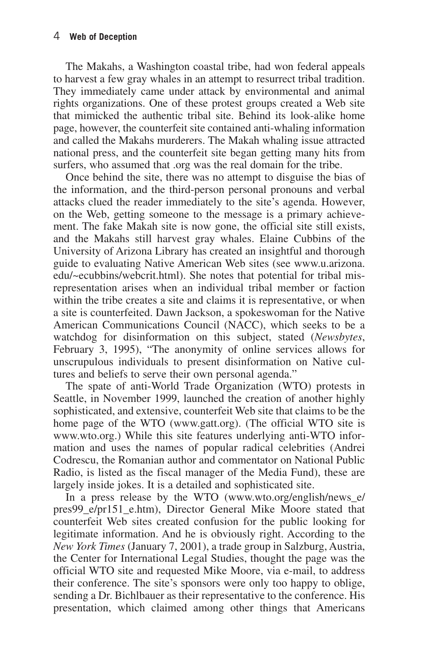The Makahs, a Washington coastal tribe, had won federal appeals to harvest a few gray whales in an attempt to resurrect tribal tradition. They immediately came under attack by environmental and animal rights organizations. One of these protest groups created a Web site that mimicked the authentic tribal site. Behind its look-alike home page, however, the counterfeit site contained anti-whaling information and called the Makahs murderers. The Makah whaling issue attracted national press, and the counterfeit site began getting many hits from surfers, who assumed that .org was the real domain for the tribe.

Once behind the site, there was no attempt to disguise the bias of the information, and the third-person personal pronouns and verbal attacks clued the reader immediately to the site's agenda. However, on the Web, getting someone to the message is a primary achievement. The fake Makah site is now gone, the official site still exists, and the Makahs still harvest gray whales. Elaine Cubbins of the University of Arizona Library has created an insightful and thorough guide to evaluating Native American Web sites (see www.u.arizona. edu/~ecubbins/webcrit.html). She notes that potential for tribal misrepresentation arises when an individual tribal member or faction within the tribe creates a site and claims it is representative, or when a site is counterfeited. Dawn Jackson, a spokeswoman for the Native American Communications Council (NACC), which seeks to be a watchdog for disinformation on this subject, stated (*Newsbytes*, February 3, 1995), "The anonymity of online services allows for unscrupulous individuals to present disinformation on Native cultures and beliefs to serve their own personal agenda."

The spate of anti-World Trade Organization (WTO) protests in Seattle, in November 1999, launched the creation of another highly sophisticated, and extensive, counterfeit Web site that claims to be the home page of the WTO (www.gatt.org). (The official WTO site is www.wto.org.) While this site features underlying anti-WTO information and uses the names of popular radical celebrities (Andrei Codrescu, the Romanian author and commentator on National Public Radio, is listed as the fiscal manager of the Media Fund), these are largely inside jokes. It is a detailed and sophisticated site.

In a press release by the WTO (www.wto.org/english/news e/ pres99 e/pr151 e.htm), Director General Mike Moore stated that counterfeit Web sites created confusion for the public looking for legitimate information. And he is obviously right. According to the *New York Times* (January 7, 2001), a trade group in Salzburg, Austria, the Center for International Legal Studies, thought the page was the official WTO site and requested Mike Moore, via e-mail, to address their conference. The site's sponsors were only too happy to oblige, sending a Dr. Bichlbauer as their representative to the conference. His presentation, which claimed among other things that Americans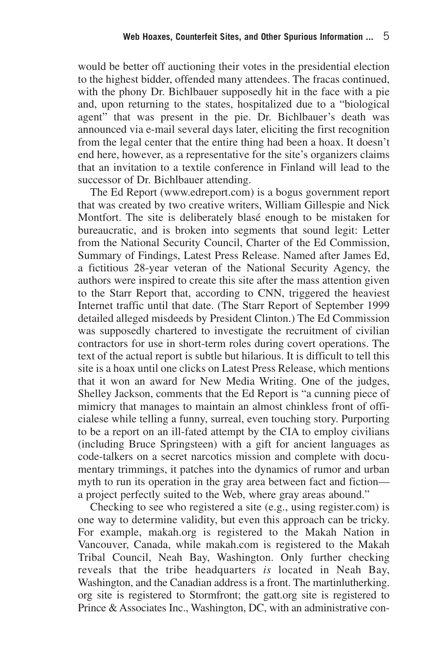would be better off auctioning their votes in the presidential election to the highest bidder, offended many attendees. The fracas continued, with the phony Dr. Bichlbauer supposedly hit in the face with a pie and, upon returning to the states, hospitalized due to a "biological agent" that was present in the pie. Dr. Bichlbauer's death was announced via e-mail several days later, eliciting the first recognition from the legal center that the entire thing had been a hoax. It doesn't end here, however, as a representative for the site's organizers claims that an invitation to a textile conference in Finland will lead to the successor of Dr. Bichlbauer attending.

The Ed Report (www.edreport.com) is a bogus government report that was created by two creative writers, William Gillespie and Nick Montfort. The site is deliberately blasé enough to be mistaken for bureaucratic, and is broken into segments that sound legit: Letter from the National Security Council, Charter of the Ed Commission, Summary of Findings, Latest Press Release. Named after James Ed, a fictitious 28-year veteran of the National Security Agency, the authors were inspired to create this site after the mass attention given to the Starr Report that, according to CNN, triggered the heaviest Internet traffic until that date. (The Starr Report of September 1999 detailed alleged misdeeds by President Clinton.) The Ed Commission was supposedly chartered to investigate the recruitment of civilian contractors for use in short-term roles during covert operations. The text of the actual report is subtle but hilarious. It is difficult to tell this site is a hoax until one clicks on Latest Press Release, which mentions that it won an award for New Media Writing. One of the judges, Shelley Jackson, comments that the Ed Report is "a cunning piece of mimicry that manages to maintain an almost chinkless front of officialese while telling a funny, surreal, even touching story. Purporting to be a report on an ill-fated attempt by the CIA to employ civilians (including Bruce Springsteen) with a gift for ancient languages as code-talkers on a secret narcotics mission and complete with documentary trimmings, it patches into the dynamics of rumor and urban myth to run its operation in the gray area between fact and fiction a project perfectly suited to the Web, where gray areas abound."

Checking to see who registered a site (e.g., using register.com) is one way to determine validity, but even this approach can be tricky. For example, makah.org is registered to the Makah Nation in Vancouver, Canada, while makah.com is registered to the Makah Tribal Council, Neah Bay, Washington. Only further checking reveals that the tribe headquarters *is* located in Neah Bay, Washington, and the Canadian address is a front. The martinlutherking. org site is registered to Stormfront; the gatt.org site is registered to Prince & Associates Inc., Washington, DC, with an administrative con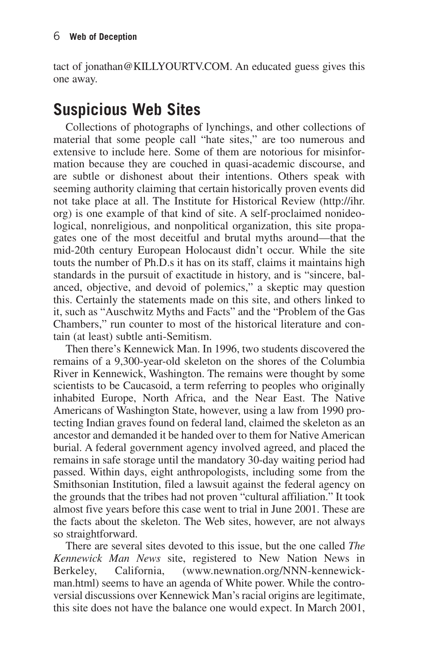tact of jonathan@KILLYOURTV.COM. An educated guess gives this one away.

# **Suspicious Web Sites**

Collections of photographs of lynchings, and other collections of material that some people call "hate sites," are too numerous and extensive to include here. Some of them are notorious for misinformation because they are couched in quasi-academic discourse, and are subtle or dishonest about their intentions. Others speak with seeming authority claiming that certain historically proven events did not take place at all. The Institute for Historical Review (http://ihr. org) is one example of that kind of site. A self-proclaimed nonideological, nonreligious, and nonpolitical organization, this site propagates one of the most deceitful and brutal myths around—that the mid-20th century European Holocaust didn't occur. While the site touts the number of Ph.D.s it has on its staff, claims it maintains high standards in the pursuit of exactitude in history, and is "sincere, balanced, objective, and devoid of polemics," a skeptic may question this. Certainly the statements made on this site, and others linked to it, such as "Auschwitz Myths and Facts" and the "Problem of the Gas Chambers," run counter to most of the historical literature and contain (at least) subtle anti-Semitism.

Then there's Kennewick Man. In 1996, two students discovered the remains of a 9,300-year-old skeleton on the shores of the Columbia River in Kennewick, Washington. The remains were thought by some scientists to be Caucasoid, a term referring to peoples who originally inhabited Europe, North Africa, and the Near East. The Native Americans of Washington State, however, using a law from 1990 protecting Indian graves found on federal land, claimed the skeleton as an ancestor and demanded it be handed over to them for Native American burial. A federal government agency involved agreed, and placed the remains in safe storage until the mandatory 30-day waiting period had passed. Within days, eight anthropologists, including some from the Smithsonian Institution, filed a lawsuit against the federal agency on the grounds that the tribes had not proven "cultural affiliation." It took almost five years before this case went to trial in June 2001. These are the facts about the skeleton. The Web sites, however, are not always so straightforward.

There are several sites devoted to this issue, but the one called *The Kennewick Man News* site, registered to New Nation News in Berkeley, California, (www.newnation.org/NNN-kennewickman.html) seems to have an agenda of White power. While the controversial discussions over Kennewick Man's racial origins are legitimate, this site does not have the balance one would expect. In March 2001,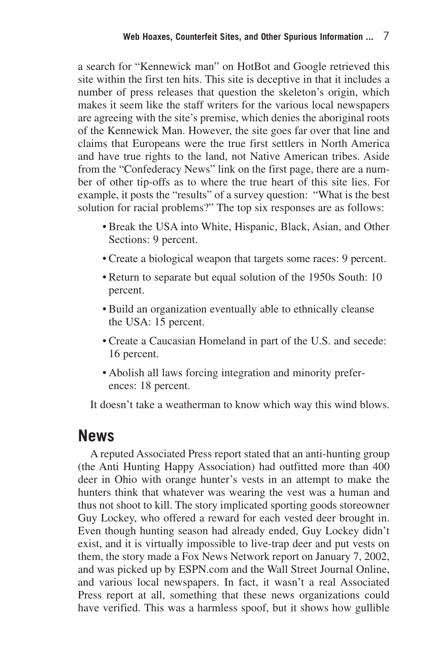a search for "Kennewick man" on HotBot and Google retrieved this site within the first ten hits. This site is deceptive in that it includes a number of press releases that question the skeleton's origin, which makes it seem like the staff writers for the various local newspapers are agreeing with the site's premise, which denies the aboriginal roots of the Kennewick Man. However, the site goes far over that line and claims that Europeans were the true first settlers in North America and have true rights to the land, not Native American tribes. Aside from the "Confederacy News" link on the first page, there are a number of other tip-offs as to where the true heart of this site lies. For example, it posts the "results" of a survey question: "What is the best solution for racial problems?" The top six responses are as follows:

- Break the USA into White, Hispanic, Black, Asian, and Other Sections: 9 percent.
- Create a biological weapon that targets some races: 9 percent.
- Return to separate but equal solution of the 1950s South: 10 percent.
- Build an organization eventually able to ethnically cleanse the USA: 15 percent.
- Create a Caucasian Homeland in part of the U.S. and secede: 16 percent.
- Abolish all laws forcing integration and minority preferences: 18 percent.

It doesn't take a weatherman to know which way this wind blows.

### **News**

A reputed Associated Press report stated that an anti-hunting group (the Anti Hunting Happy Association) had outfitted more than 400 deer in Ohio with orange hunter's vests in an attempt to make the hunters think that whatever was wearing the vest was a human and thus not shoot to kill. The story implicated sporting goods storeowner Guy Lockey, who offered a reward for each vested deer brought in. Even though hunting season had already ended, Guy Lockey didn't exist, and it is virtually impossible to live-trap deer and put vests on them, the story made a Fox News Network report on January 7, 2002, and was picked up by ESPN.com and the Wall Street Journal Online, and various local newspapers. In fact, it wasn't a real Associated Press report at all, something that these news organizations could have verified. This was a harmless spoof, but it shows how gullible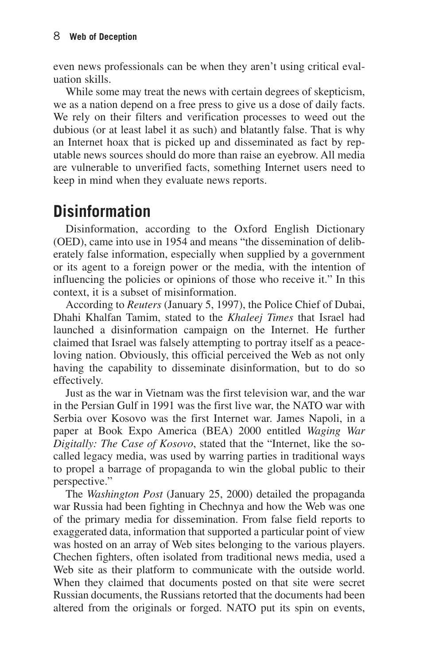even news professionals can be when they aren't using critical evaluation skills.

While some may treat the news with certain degrees of skepticism, we as a nation depend on a free press to give us a dose of daily facts. We rely on their filters and verification processes to weed out the dubious (or at least label it as such) and blatantly false. That is why an Internet hoax that is picked up and disseminated as fact by reputable news sources should do more than raise an eyebrow. All media are vulnerable to unverified facts, something Internet users need to keep in mind when they evaluate news reports.

# **Disinformation**

Disinformation, according to the Oxford English Dictionary (OED), came into use in 1954 and means "the dissemination of deliberately false information, especially when supplied by a government or its agent to a foreign power or the media, with the intention of influencing the policies or opinions of those who receive it." In this context, it is a subset of misinformation.

According to *Reuters* (January 5, 1997), the Police Chief of Dubai, Dhahi Khalfan Tamim, stated to the *Khaleej Times* that Israel had launched a disinformation campaign on the Internet. He further claimed that Israel was falsely attempting to portray itself as a peaceloving nation. Obviously, this official perceived the Web as not only having the capability to disseminate disinformation, but to do so effectively.

Just as the war in Vietnam was the first television war, and the war in the Persian Gulf in 1991 was the first live war, the NATO war with Serbia over Kosovo was the first Internet war. James Napoli, in a paper at Book Expo America (BEA) 2000 entitled *Waging War Digitally: The Case of Kosovo*, stated that the "Internet, like the socalled legacy media, was used by warring parties in traditional ways to propel a barrage of propaganda to win the global public to their perspective."

The *Washington Post* (January 25, 2000) detailed the propaganda war Russia had been fighting in Chechnya and how the Web was one of the primary media for dissemination. From false field reports to exaggerated data, information that supported a particular point of view was hosted on an array of Web sites belonging to the various players. Chechen fighters, often isolated from traditional news media, used a Web site as their platform to communicate with the outside world. When they claimed that documents posted on that site were secret Russian documents, the Russians retorted that the documents had been altered from the originals or forged. NATO put its spin on events,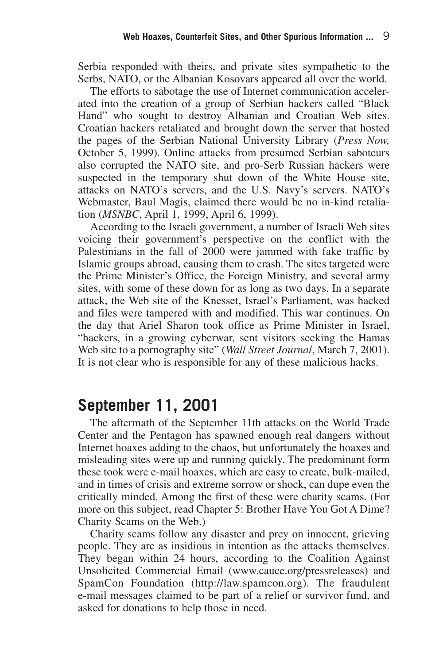Serbia responded with theirs, and private sites sympathetic to the Serbs, NATO, or the Albanian Kosovars appeared all over the world.

The efforts to sabotage the use of Internet communication accelerated into the creation of a group of Serbian hackers called "Black Hand" who sought to destroy Albanian and Croatian Web sites. Croatian hackers retaliated and brought down the server that hosted the pages of the Serbian National University Library (*Press Now,* October 5, 1999). Online attacks from presumed Serbian saboteurs also corrupted the NATO site, and pro-Serb Russian hackers were suspected in the temporary shut down of the White House site, attacks on NATO's servers, and the U.S. Navy's servers. NATO's Webmaster, Baul Magis, claimed there would be no in-kind retaliation (*MSNBC*, April 1, 1999, April 6, 1999).

According to the Israeli government, a number of Israeli Web sites voicing their government's perspective on the conflict with the Palestinians in the fall of 2000 were jammed with fake traffic by Islamic groups abroad, causing them to crash. The sites targeted were the Prime Minister's Office, the Foreign Ministry, and several army sites, with some of these down for as long as two days. In a separate attack, the Web site of the Knesset, Israel's Parliament, was hacked and files were tampered with and modified. This war continues. On the day that Ariel Sharon took office as Prime Minister in Israel, "hackers, in a growing cyberwar, sent visitors seeking the Hamas Web site to a pornography site" (*Wall Street Journal*, March 7, 2001). It is not clear who is responsible for any of these malicious hacks.

### **September 11, 2001**

The aftermath of the September 11th attacks on the World Trade Center and the Pentagon has spawned enough real dangers without Internet hoaxes adding to the chaos, but unfortunately the hoaxes and misleading sites were up and running quickly. The predominant form these took were e-mail hoaxes, which are easy to create, bulk-mailed, and in times of crisis and extreme sorrow or shock, can dupe even the critically minded. Among the first of these were charity scams. (For more on this subject, read Chapter 5: Brother Have You Got A Dime? Charity Scams on the Web.)

Charity scams follow any disaster and prey on innocent, grieving people. They are as insidious in intention as the attacks themselves. They began within 24 hours, according to the Coalition Against Unsolicited Commercial Email (www.cauce.org/pressreleases) and SpamCon Foundation (http://law.spamcon.org). The fraudulent e-mail messages claimed to be part of a relief or survivor fund, and asked for donations to help those in need.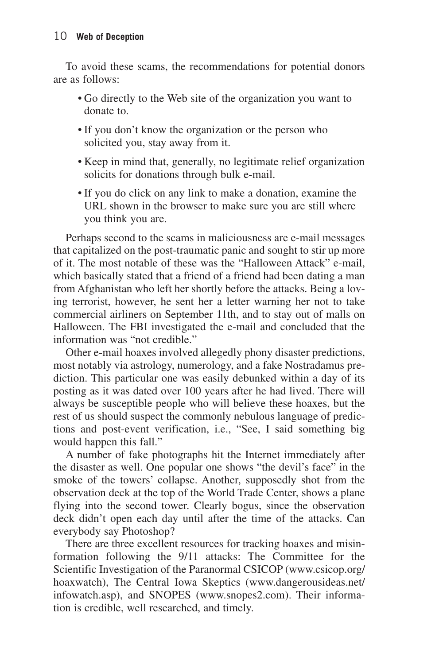To avoid these scams, the recommendations for potential donors are as follows:

- Go directly to the Web site of the organization you want to donate to.
- If you don't know the organization or the person who solicited you, stay away from it.
- Keep in mind that, generally, no legitimate relief organization solicits for donations through bulk e-mail.
- If you do click on any link to make a donation, examine the URL shown in the browser to make sure you are still where you think you are.

Perhaps second to the scams in maliciousness are e-mail messages that capitalized on the post-traumatic panic and sought to stir up more of it. The most notable of these was the "Halloween Attack" e-mail, which basically stated that a friend of a friend had been dating a man from Afghanistan who left her shortly before the attacks. Being a loving terrorist, however, he sent her a letter warning her not to take commercial airliners on September 11th, and to stay out of malls on Halloween. The FBI investigated the e-mail and concluded that the information was "not credible."

Other e-mail hoaxes involved allegedly phony disaster predictions, most notably via astrology, numerology, and a fake Nostradamus prediction. This particular one was easily debunked within a day of its posting as it was dated over 100 years after he had lived. There will always be susceptible people who will believe these hoaxes, but the rest of us should suspect the commonly nebulous language of predictions and post-event verification, i.e., "See, I said something big would happen this fall."

A number of fake photographs hit the Internet immediately after the disaster as well. One popular one shows "the devil's face" in the smoke of the towers' collapse. Another, supposedly shot from the observation deck at the top of the World Trade Center, shows a plane flying into the second tower. Clearly bogus, since the observation deck didn't open each day until after the time of the attacks. Can everybody say Photoshop?

There are three excellent resources for tracking hoaxes and misinformation following the 9/11 attacks: The Committee for the Scientific Investigation of the Paranormal CSICOP (www.csicop.org/ hoaxwatch), The Central Iowa Skeptics (www.dangerousideas.net/ infowatch.asp), and SNOPES (www.snopes2.com). Their information is credible, well researched, and timely.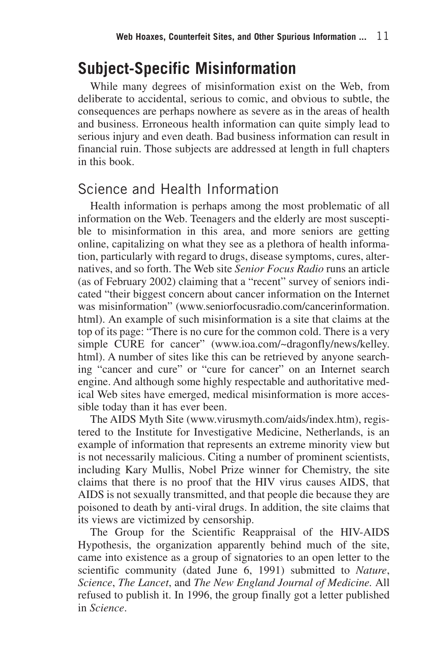### **Subject-Specific Misinformation**

While many degrees of misinformation exist on the Web, from deliberate to accidental, serious to comic, and obvious to subtle, the consequences are perhaps nowhere as severe as in the areas of health and business. Erroneous health information can quite simply lead to serious injury and even death. Bad business information can result in financial ruin. Those subjects are addressed at length in full chapters in this book.

#### Science and Health Information

Health information is perhaps among the most problematic of all information on the Web. Teenagers and the elderly are most susceptible to misinformation in this area, and more seniors are getting online, capitalizing on what they see as a plethora of health information, particularly with regard to drugs, disease symptoms, cures, alternatives, and so forth. The Web site *Senior Focus Radio* runs an article (as of February 2002) claiming that a "recent" survey of seniors indicated "their biggest concern about cancer information on the Internet was misinformation" (www.seniorfocusradio.com/cancerinformation. html). An example of such misinformation is a site that claims at the top of its page: "There is no cure for the common cold. There is a very simple CURE for cancer" (www.ioa.com/~dragonfly/news/kelley. html). A number of sites like this can be retrieved by anyone searching "cancer and cure" or "cure for cancer" on an Internet search engine. And although some highly respectable and authoritative medical Web sites have emerged, medical misinformation is more accessible today than it has ever been.

The AIDS Myth Site (www.virusmyth.com/aids/index.htm), registered to the Institute for Investigative Medicine, Netherlands, is an example of information that represents an extreme minority view but is not necessarily malicious. Citing a number of prominent scientists, including Kary Mullis, Nobel Prize winner for Chemistry, the site claims that there is no proof that the HIV virus causes AIDS, that AIDS is not sexually transmitted, and that people die because they are poisoned to death by anti-viral drugs. In addition, the site claims that its views are victimized by censorship.

The Group for the Scientific Reappraisal of the HIV-AIDS Hypothesis, the organization apparently behind much of the site, came into existence as a group of signatories to an open letter to the scientific community (dated June 6, 1991) submitted to *Nature*, *Science*, *The Lancet*, and *The New England Journal of Medicine.* All refused to publish it. In 1996, the group finally got a letter published in *Science*.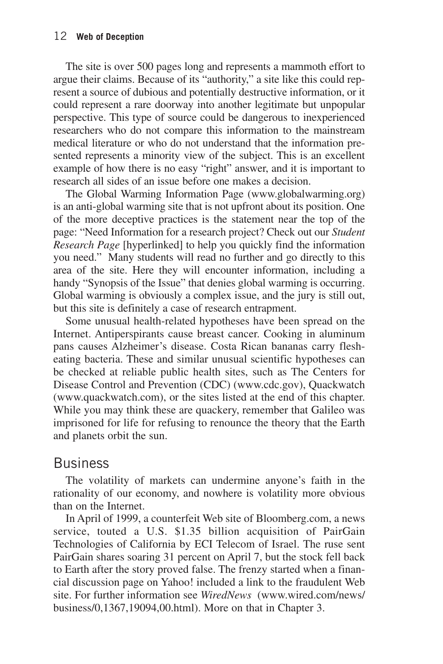The site is over 500 pages long and represents a mammoth effort to argue their claims. Because of its "authority," a site like this could represent a source of dubious and potentially destructive information, or it could represent a rare doorway into another legitimate but unpopular perspective. This type of source could be dangerous to inexperienced researchers who do not compare this information to the mainstream medical literature or who do not understand that the information presented represents a minority view of the subject. This is an excellent example of how there is no easy "right" answer, and it is important to research all sides of an issue before one makes a decision.

The Global Warming Information Page (www.globalwarming.org) is an anti-global warming site that is not upfront about its position. One of the more deceptive practices is the statement near the top of the page: "Need Information for a research project? Check out our *Student Research Page* [hyperlinked] to help you quickly find the information you need." Many students will read no further and go directly to this area of the site. Here they will encounter information, including a handy "Synopsis of the Issue" that denies global warming is occurring. Global warming is obviously a complex issue, and the jury is still out, but this site is definitely a case of research entrapment.

Some unusual health-related hypotheses have been spread on the Internet. Antiperspirants cause breast cancer. Cooking in aluminum pans causes Alzheimer's disease. Costa Rican bananas carry flesheating bacteria. These and similar unusual scientific hypotheses can be checked at reliable public health sites, such as The Centers for Disease Control and Prevention (CDC) (www.cdc.gov), Quackwatch (www.quackwatch.com), or the sites listed at the end of this chapter. While you may think these are quackery, remember that Galileo was imprisoned for life for refusing to renounce the theory that the Earth and planets orbit the sun.

#### **Business**

The volatility of markets can undermine anyone's faith in the rationality of our economy, and nowhere is volatility more obvious than on the Internet.

In April of 1999, a counterfeit Web site of Bloomberg.com, a news service, touted a U.S. \$1.35 billion acquisition of PairGain Technologies of California by ECI Telecom of Israel. The ruse sent PairGain shares soaring 31 percent on April 7, but the stock fell back to Earth after the story proved false. The frenzy started when a financial discussion page on Yahoo! included a link to the fraudulent Web site. For further information see *WiredNews* (www.wired.com/news/ business/0,1367,19094,00.html). More on that in Chapter 3.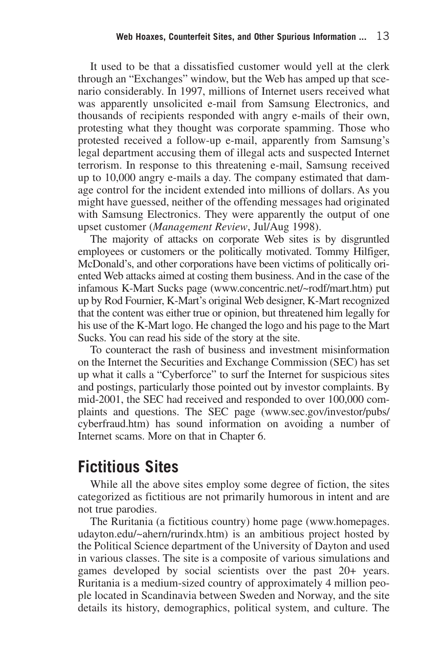It used to be that a dissatisfied customer would yell at the clerk through an "Exchanges" window, but the Web has amped up that scenario considerably. In 1997, millions of Internet users received what was apparently unsolicited e-mail from Samsung Electronics, and thousands of recipients responded with angry e-mails of their own, protesting what they thought was corporate spamming. Those who protested received a follow-up e-mail, apparently from Samsung's legal department accusing them of illegal acts and suspected Internet terrorism. In response to this threatening e-mail, Samsung received up to 10,000 angry e-mails a day. The company estimated that damage control for the incident extended into millions of dollars. As you might have guessed, neither of the offending messages had originated with Samsung Electronics. They were apparently the output of one upset customer (*Management Review*, Jul/Aug 1998).

The majority of attacks on corporate Web sites is by disgruntled employees or customers or the politically motivated. Tommy Hilfiger, McDonald's, and other corporations have been victims of politically oriented Web attacks aimed at costing them business. And in the case of the infamous K-Mart Sucks page (www.concentric.net/~rodf/mart.htm) put up by Rod Fournier, K-Mart's original Web designer, K-Mart recognized that the content was either true or opinion, but threatened him legally for his use of the K-Mart logo. He changed the logo and his page to the Mart Sucks. You can read his side of the story at the site.

To counteract the rash of business and investment misinformation on the Internet the Securities and Exchange Commission (SEC) has set up what it calls a "Cyberforce" to surf the Internet for suspicious sites and postings, particularly those pointed out by investor complaints. By mid-2001, the SEC had received and responded to over 100,000 complaints and questions. The SEC page (www.sec.gov/investor/pubs/ cyberfraud.htm) has sound information on avoiding a number of Internet scams. More on that in Chapter 6.

### **Fictitious Sites**

While all the above sites employ some degree of fiction, the sites categorized as fictitious are not primarily humorous in intent and are not true parodies.

The Ruritania (a fictitious country) home page (www.homepages. udayton.edu/~ahern/rurindx.htm) is an ambitious project hosted by the Political Science department of the University of Dayton and used in various classes. The site is a composite of various simulations and games developed by social scientists over the past 20+ years. Ruritania is a medium-sized country of approximately 4 million people located in Scandinavia between Sweden and Norway, and the site details its history, demographics, political system, and culture. The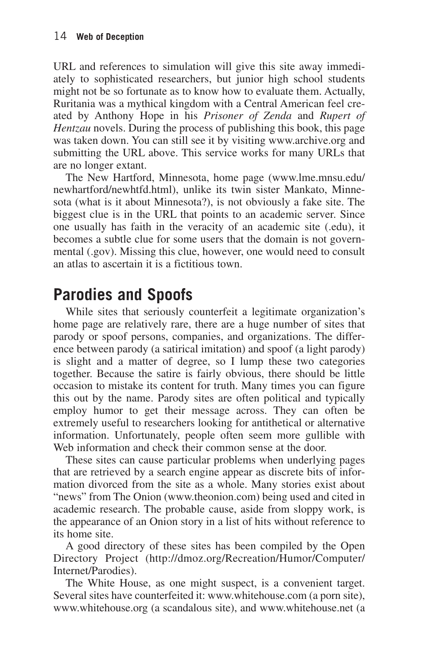URL and references to simulation will give this site away immediately to sophisticated researchers, but junior high school students might not be so fortunate as to know how to evaluate them. Actually, Ruritania was a mythical kingdom with a Central American feel created by Anthony Hope in his *Prisoner of Zenda* and *Rupert of Hentzau* novels. During the process of publishing this book, this page was taken down. You can still see it by visiting www.archive.org and submitting the URL above. This service works for many URLs that are no longer extant.

The New Hartford, Minnesota, home page (www.lme.mnsu.edu/ newhartford/newhtfd.html), unlike its twin sister Mankato, Minnesota (what is it about Minnesota?), is not obviously a fake site. The biggest clue is in the URL that points to an academic server. Since one usually has faith in the veracity of an academic site (.edu), it becomes a subtle clue for some users that the domain is not governmental (.gov). Missing this clue, however, one would need to consult an atlas to ascertain it is a fictitious town.

# **Parodies and Spoofs**

While sites that seriously counterfeit a legitimate organization's home page are relatively rare, there are a huge number of sites that parody or spoof persons, companies, and organizations. The difference between parody (a satirical imitation) and spoof (a light parody) is slight and a matter of degree, so I lump these two categories together. Because the satire is fairly obvious, there should be little occasion to mistake its content for truth. Many times you can figure this out by the name. Parody sites are often political and typically employ humor to get their message across. They can often be extremely useful to researchers looking for antithetical or alternative information. Unfortunately, people often seem more gullible with Web information and check their common sense at the door.

These sites can cause particular problems when underlying pages that are retrieved by a search engine appear as discrete bits of information divorced from the site as a whole. Many stories exist about "news" from The Onion (www.theonion.com) being used and cited in academic research. The probable cause, aside from sloppy work, is the appearance of an Onion story in a list of hits without reference to its home site.

A good directory of these sites has been compiled by the Open Directory Project (http://dmoz.org/Recreation/Humor/Computer/ Internet/Parodies).

The White House, as one might suspect, is a convenient target. Several sites have counterfeited it: www.whitehouse.com (a porn site), www.whitehouse.org (a scandalous site), and www.whitehouse.net (a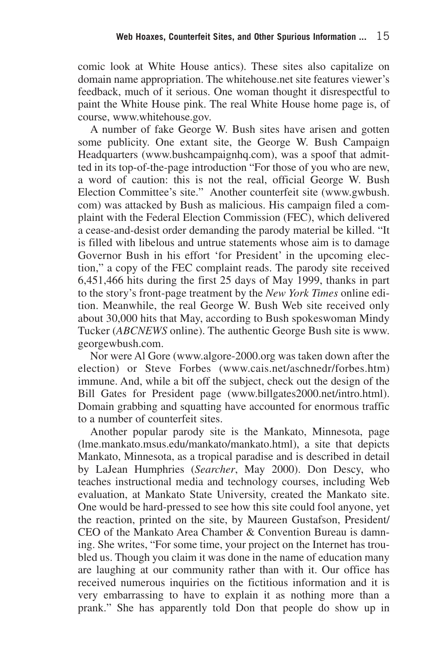comic look at White House antics). These sites also capitalize on domain name appropriation. The whitehouse.net site features viewer's feedback, much of it serious. One woman thought it disrespectful to paint the White House pink. The real White House home page is, of course, www.whitehouse.gov.

A number of fake George W. Bush sites have arisen and gotten some publicity. One extant site, the George W. Bush Campaign Headquarters (www.bushcampaignhq.com), was a spoof that admitted in its top-of-the-page introduction "For those of you who are new, a word of caution: this is not the real, official George W. Bush Election Committee's site." Another counterfeit site (www.gwbush. com) was attacked by Bush as malicious. His campaign filed a complaint with the Federal Election Commission (FEC), which delivered a cease-and-desist order demanding the parody material be killed. "It is filled with libelous and untrue statements whose aim is to damage Governor Bush in his effort 'for President' in the upcoming election," a copy of the FEC complaint reads. The parody site received 6,451,466 hits during the first 25 days of May 1999, thanks in part to the story's front-page treatment by the *New York Times* online edition. Meanwhile, the real George W. Bush Web site received only about 30,000 hits that May, according to Bush spokeswoman Mindy Tucker (*ABCNEWS* online). The authentic George Bush site is www. georgewbush.com.

Nor were Al Gore (www.algore-2000.org was taken down after the election) or Steve Forbes (www.cais.net/aschnedr/forbes.htm) immune. And, while a bit off the subject, check out the design of the Bill Gates for President page (www.billgates2000.net/intro.html). Domain grabbing and squatting have accounted for enormous traffic to a number of counterfeit sites.

Another popular parody site is the Mankato, Minnesota, page (lme.mankato.msus.edu/mankato/mankato.html), a site that depicts Mankato, Minnesota, as a tropical paradise and is described in detail by LaJean Humphries (*Searcher*, May 2000). Don Descy, who teaches instructional media and technology courses, including Web evaluation, at Mankato State University, created the Mankato site. One would be hard-pressed to see how this site could fool anyone, yet the reaction, printed on the site, by Maureen Gustafson, President/ CEO of the Mankato Area Chamber & Convention Bureau is damning. She writes, "For some time, your project on the Internet has troubled us. Though you claim it was done in the name of education many are laughing at our community rather than with it. Our office has received numerous inquiries on the fictitious information and it is very embarrassing to have to explain it as nothing more than a prank." She has apparently told Don that people do show up in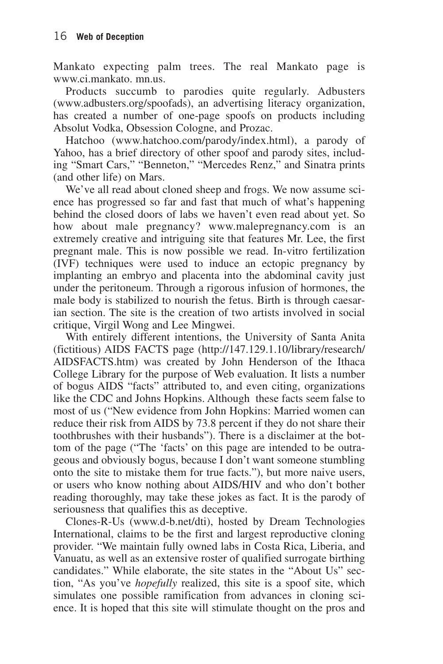Mankato expecting palm trees. The real Mankato page is www.ci.mankato. mn.us.

Products succumb to parodies quite regularly. Adbusters (www.adbusters.org/spoofads), an advertising literacy organization, has created a number of one-page spoofs on products including Absolut Vodka, Obsession Cologne, and Prozac.

Hatchoo (www.hatchoo.com/parody/index.html), a parody of Yahoo, has a brief directory of other spoof and parody sites, including "Smart Cars," "Benneton," "Mercedes Renz," and Sinatra prints (and other life) on Mars.

We've all read about cloned sheep and frogs. We now assume science has progressed so far and fast that much of what's happening behind the closed doors of labs we haven't even read about yet. So how about male pregnancy? www.malepregnancy.com is an extremely creative and intriguing site that features Mr. Lee, the first pregnant male. This is now possible we read. In-vitro fertilization (IVF) techniques were used to induce an ectopic pregnancy by implanting an embryo and placenta into the abdominal cavity just under the peritoneum. Through a rigorous infusion of hormones, the male body is stabilized to nourish the fetus. Birth is through caesarian section. The site is the creation of two artists involved in social critique, Virgil Wong and Lee Mingwei.

With entirely different intentions, the University of Santa Anita (fictitious) AIDS FACTS page (http://147.129.1.10/library/research/ AIDSFACTS.htm) was created by John Henderson of the Ithaca College Library for the purpose of Web evaluation. It lists a number of bogus AIDS "facts" attributed to, and even citing, organizations like the CDC and Johns Hopkins. Although these facts seem false to most of us ("New evidence from John Hopkins: Married women can reduce their risk from AIDS by 73.8 percent if they do not share their toothbrushes with their husbands"). There is a disclaimer at the bottom of the page ("The 'facts' on this page are intended to be outrageous and obviously bogus, because I don't want someone stumbling onto the site to mistake them for true facts."), but more naive users, or users who know nothing about AIDS/HIV and who don't bother reading thoroughly, may take these jokes as fact. It is the parody of seriousness that qualifies this as deceptive.

Clones-R-Us (www.d-b.net/dti), hosted by Dream Technologies International, claims to be the first and largest reproductive cloning provider. "We maintain fully owned labs in Costa Rica, Liberia, and Vanuatu, as well as an extensive roster of qualified surrogate birthing candidates." While elaborate, the site states in the "About Us" section, "As you've *hopefully* realized, this site is a spoof site, which simulates one possible ramification from advances in cloning science. It is hoped that this site will stimulate thought on the pros and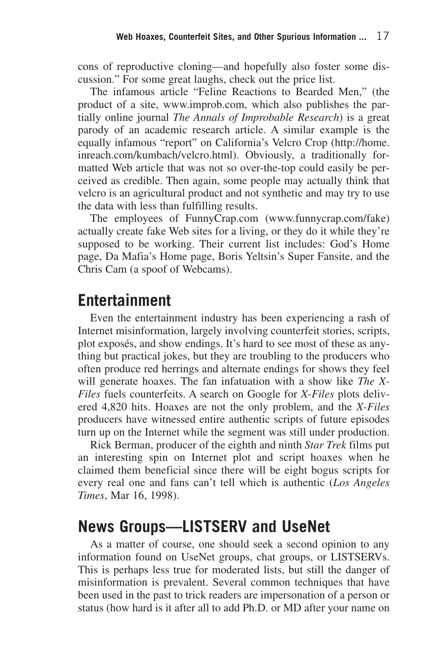cons of reproductive cloning—and hopefully also foster some discussion." For some great laughs, check out the price list.

The infamous article "Feline Reactions to Bearded Men," (the product of a site, www.improb.com, which also publishes the partially online journal *The Annals of Improbable Research*) is a great parody of an academic research article. A similar example is the equally infamous "report" on California's Velcro Crop (http://home. inreach.com/kumbach/velcro.html). Obviously, a traditionally formatted Web article that was not so over-the-top could easily be perceived as credible. Then again, some people may actually think that velcro is an agricultural product and not synthetic and may try to use the data with less than fulfilling results.

The employees of FunnyCrap.com (www.funnycrap.com/fake) actually create fake Web sites for a living, or they do it while they're supposed to be working. Their current list includes: God's Home page, Da Mafia's Home page, Boris Yeltsin's Super Fansite, and the Chris Cam (a spoof of Webcams).

#### **Entertainment**

Even the entertainment industry has been experiencing a rash of Internet misinformation, largely involving counterfeit stories, scripts, plot exposés, and show endings. It's hard to see most of these as anything but practical jokes, but they are troubling to the producers who often produce red herrings and alternate endings for shows they feel will generate hoaxes. The fan infatuation with a show like *The X-Files* fuels counterfeits. A search on Google for *X-Files* plots delivered 4,820 hits. Hoaxes are not the only problem, and the *X-Files* producers have witnessed entire authentic scripts of future episodes turn up on the Internet while the segment was still under production.

Rick Berman, producer of the eighth and ninth *Star Trek* films put an interesting spin on Internet plot and script hoaxes when he claimed them beneficial since there will be eight bogus scripts for every real one and fans can't tell which is authentic (*Los Angeles Times*, Mar 16, 1998).

#### **News Groups—LISTSERV and UseNet**

As a matter of course, one should seek a second opinion to any information found on UseNet groups, chat groups, or LISTSERVs. This is perhaps less true for moderated lists, but still the danger of misinformation is prevalent. Several common techniques that have been used in the past to trick readers are impersonation of a person or status (how hard is it after all to add Ph.D. or MD after your name on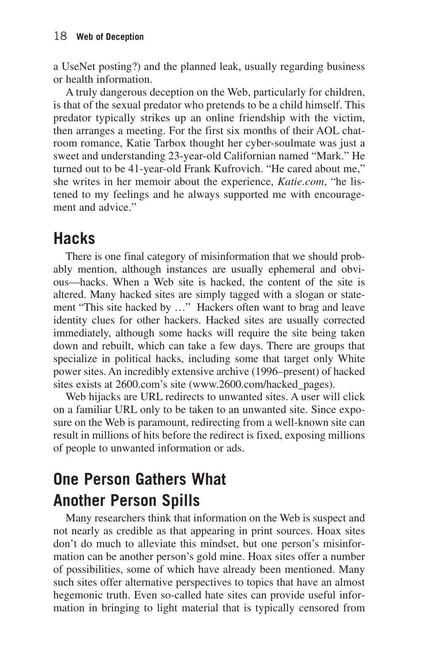a UseNet posting?) and the planned leak, usually regarding business or health information.

A truly dangerous deception on the Web, particularly for children, is that of the sexual predator who pretends to be a child himself. This predator typically strikes up an online friendship with the victim, then arranges a meeting. For the first six months of their AOL chatroom romance, Katie Tarbox thought her cyber-soulmate was just a sweet and understanding 23-year-old Californian named "Mark." He turned out to be 41-year-old Frank Kufrovich. "He cared about me," she writes in her memoir about the experience, *Katie.com*, "he listened to my feelings and he always supported me with encouragement and advice."

# **Hacks**

There is one final category of misinformation that we should probably mention, although instances are usually ephemeral and obvious—hacks. When a Web site is hacked, the content of the site is altered. Many hacked sites are simply tagged with a slogan or statement "This site hacked by …" Hackers often want to brag and leave identity clues for other hackers. Hacked sites are usually corrected immediately, although some hacks will require the site being taken down and rebuilt, which can take a few days. There are groups that specialize in political hacks, including some that target only White power sites. An incredibly extensive archive (1996–present) of hacked sites exists at 2600.com's site (www.2600.com/hacked\_pages).

Web hijacks are URL redirects to unwanted sites. A user will click on a familiar URL only to be taken to an unwanted site. Since exposure on the Web is paramount, redirecting from a well-known site can result in millions of hits before the redirect is fixed, exposing millions of people to unwanted information or ads.

# **One Person Gathers What Another Person Spills**

Many researchers think that information on the Web is suspect and not nearly as credible as that appearing in print sources. Hoax sites don't do much to alleviate this mindset, but one person's misinformation can be another person's gold mine. Hoax sites offer a number of possibilities, some of which have already been mentioned. Many such sites offer alternative perspectives to topics that have an almost hegemonic truth. Even so-called hate sites can provide useful information in bringing to light material that is typically censored from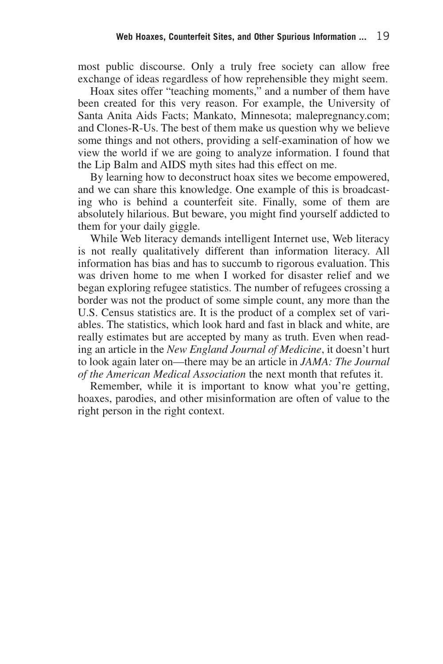most public discourse. Only a truly free society can allow free exchange of ideas regardless of how reprehensible they might seem.

Hoax sites offer "teaching moments," and a number of them have been created for this very reason. For example, the University of Santa Anita Aids Facts; Mankato, Minnesota; malepregnancy.com; and Clones-R-Us. The best of them make us question why we believe some things and not others, providing a self-examination of how we view the world if we are going to analyze information. I found that the Lip Balm and AIDS myth sites had this effect on me.

By learning how to deconstruct hoax sites we become empowered, and we can share this knowledge. One example of this is broadcasting who is behind a counterfeit site. Finally, some of them are absolutely hilarious. But beware, you might find yourself addicted to them for your daily giggle.

While Web literacy demands intelligent Internet use, Web literacy is not really qualitatively different than information literacy. All information has bias and has to succumb to rigorous evaluation. This was driven home to me when I worked for disaster relief and we began exploring refugee statistics. The number of refugees crossing a border was not the product of some simple count, any more than the U.S. Census statistics are. It is the product of a complex set of variables. The statistics, which look hard and fast in black and white, are really estimates but are accepted by many as truth. Even when reading an article in the *New England Journal of Medicine*, it doesn't hurt to look again later on—there may be an article in *JAMA: The Journal of the American Medical Association* the next month that refutes it.

Remember, while it is important to know what you're getting, hoaxes, parodies, and other misinformation are often of value to the right person in the right context.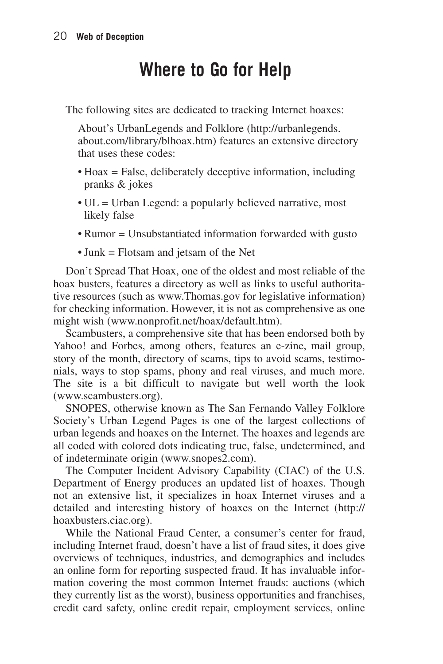# **Where to Go for Help**

The following sites are dedicated to tracking Internet hoaxes:

About's UrbanLegends and Folklore (http://urbanlegends. about.com/library/blhoax.htm) features an extensive directory that uses these codes:

- Hoax = False, deliberately deceptive information, including pranks & jokes
- UL = Urban Legend: a popularly believed narrative, most likely false
- Rumor = Unsubstantiated information forwarded with gusto
- Junk = Flotsam and jetsam of the Net

Don't Spread That Hoax, one of the oldest and most reliable of the hoax busters, features a directory as well as links to useful authoritative resources (such as www.Thomas.gov for legislative information) for checking information. However, it is not as comprehensive as one might wish (www.nonprofit.net/hoax/default.htm).

Scambusters, a comprehensive site that has been endorsed both by Yahoo! and Forbes, among others, features an e-zine, mail group, story of the month, directory of scams, tips to avoid scams, testimonials, ways to stop spams, phony and real viruses, and much more. The site is a bit difficult to navigate but well worth the look (www.scambusters.org).

SNOPES, otherwise known as The San Fernando Valley Folklore Society's Urban Legend Pages is one of the largest collections of urban legends and hoaxes on the Internet. The hoaxes and legends are all coded with colored dots indicating true, false, undetermined, and of indeterminate origin (www.snopes2.com).

The Computer Incident Advisory Capability (CIAC) of the U.S. Department of Energy produces an updated list of hoaxes. Though not an extensive list, it specializes in hoax Internet viruses and a detailed and interesting history of hoaxes on the Internet (http:// hoaxbusters.ciac.org).

While the National Fraud Center, a consumer's center for fraud, including Internet fraud, doesn't have a list of fraud sites, it does give overviews of techniques, industries, and demographics and includes an online form for reporting suspected fraud. It has invaluable information covering the most common Internet frauds: auctions (which they currently list as the worst), business opportunities and franchises, credit card safety, online credit repair, employment services, online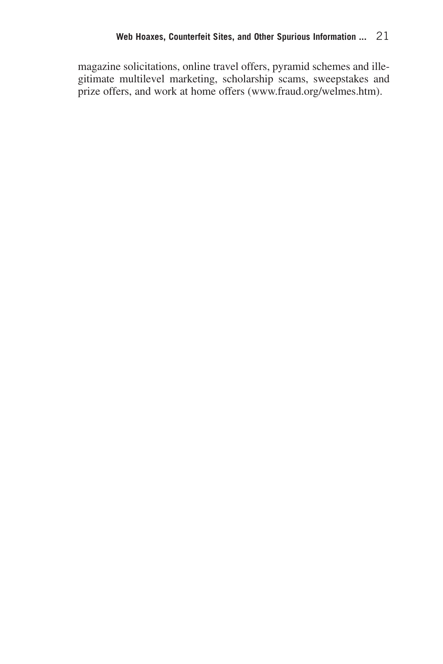magazine solicitations, online travel offers, pyramid schemes and illegitimate multilevel marketing, scholarship scams, sweepstakes and prize offers, and work at home offers (www.fraud.org/welmes.htm).